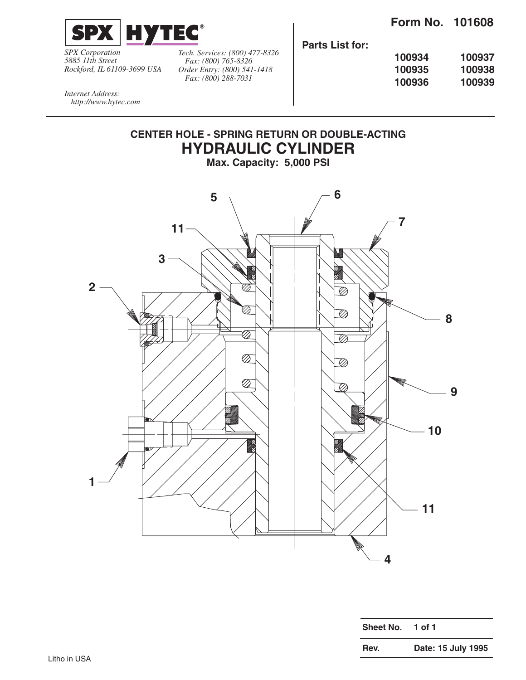

*SPX Corporation 5885 11th Street Rockford, IL 61109-3699 USA*

*Tech. Services: (800) 477-8326 Fax: (800) 765-8326 Order Entry: (800) 541-1418 Fax: (800) 288-7031*

**Parts List for:**

| 100934 | 100937 |
|--------|--------|
| 100935 | 100938 |
| 100936 | 100939 |

*Internet Address: http://www.hytec.com*

## **CENTER HOLE - SPRING RETURN OR DOUBLE-ACTING HYDRAULIC CYLINDER Max. Capacity: 5,000 PSI**



| <b>Sheet No.</b> | 1 of 1             |
|------------------|--------------------|
| Rev.             | Date: 15 July 1995 |